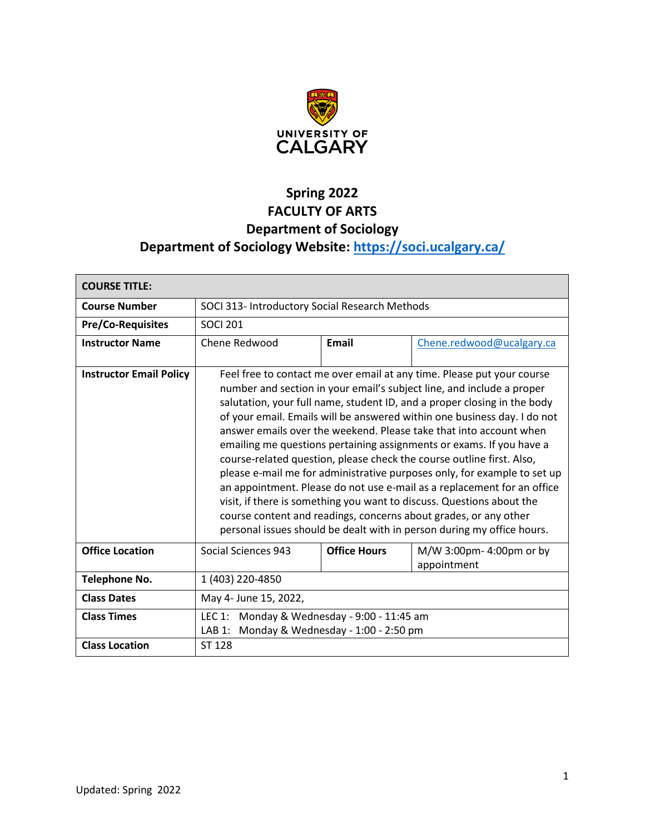

# **Spring 2022 FACULTY OF ARTS Department of Sociology Department of Sociology Website:<https://soci.ucalgary.ca/>**

| <b>COURSE TITLE:</b>           |                                                                                                                                                                                                                                                                                                                                                                                                                                                                                                                                                                                                                                                                                                                                                                                                                                                                                                              |                     |                                         |  |
|--------------------------------|--------------------------------------------------------------------------------------------------------------------------------------------------------------------------------------------------------------------------------------------------------------------------------------------------------------------------------------------------------------------------------------------------------------------------------------------------------------------------------------------------------------------------------------------------------------------------------------------------------------------------------------------------------------------------------------------------------------------------------------------------------------------------------------------------------------------------------------------------------------------------------------------------------------|---------------------|-----------------------------------------|--|
| <b>Course Number</b>           | SOCI 313- Introductory Social Research Methods                                                                                                                                                                                                                                                                                                                                                                                                                                                                                                                                                                                                                                                                                                                                                                                                                                                               |                     |                                         |  |
| <b>Pre/Co-Requisites</b>       | <b>SOCI 201</b>                                                                                                                                                                                                                                                                                                                                                                                                                                                                                                                                                                                                                                                                                                                                                                                                                                                                                              |                     |                                         |  |
| <b>Instructor Name</b>         | Chene Redwood                                                                                                                                                                                                                                                                                                                                                                                                                                                                                                                                                                                                                                                                                                                                                                                                                                                                                                | Email               | Chene.redwood@ucalgary.ca               |  |
| <b>Instructor Email Policy</b> | Feel free to contact me over email at any time. Please put your course<br>number and section in your email's subject line, and include a proper<br>salutation, your full name, student ID, and a proper closing in the body<br>of your email. Emails will be answered within one business day. I do not<br>answer emails over the weekend. Please take that into account when<br>emailing me questions pertaining assignments or exams. If you have a<br>course-related question, please check the course outline first. Also,<br>please e-mail me for administrative purposes only, for example to set up<br>an appointment. Please do not use e-mail as a replacement for an office<br>visit, if there is something you want to discuss. Questions about the<br>course content and readings, concerns about grades, or any other<br>personal issues should be dealt with in person during my office hours. |                     |                                         |  |
| <b>Office Location</b>         | Social Sciences 943                                                                                                                                                                                                                                                                                                                                                                                                                                                                                                                                                                                                                                                                                                                                                                                                                                                                                          | <b>Office Hours</b> | M/W 3:00pm- 4:00pm or by<br>appointment |  |
| <b>Telephone No.</b>           | 1 (403) 220-4850                                                                                                                                                                                                                                                                                                                                                                                                                                                                                                                                                                                                                                                                                                                                                                                                                                                                                             |                     |                                         |  |
| <b>Class Dates</b>             | May 4- June 15, 2022,                                                                                                                                                                                                                                                                                                                                                                                                                                                                                                                                                                                                                                                                                                                                                                                                                                                                                        |                     |                                         |  |
| <b>Class Times</b>             | LEC 1: Monday & Wednesday - 9:00 - 11:45 am<br>Monday & Wednesday - 1:00 - 2:50 pm<br>LAB 1:                                                                                                                                                                                                                                                                                                                                                                                                                                                                                                                                                                                                                                                                                                                                                                                                                 |                     |                                         |  |
| <b>Class Location</b>          | ST 128                                                                                                                                                                                                                                                                                                                                                                                                                                                                                                                                                                                                                                                                                                                                                                                                                                                                                                       |                     |                                         |  |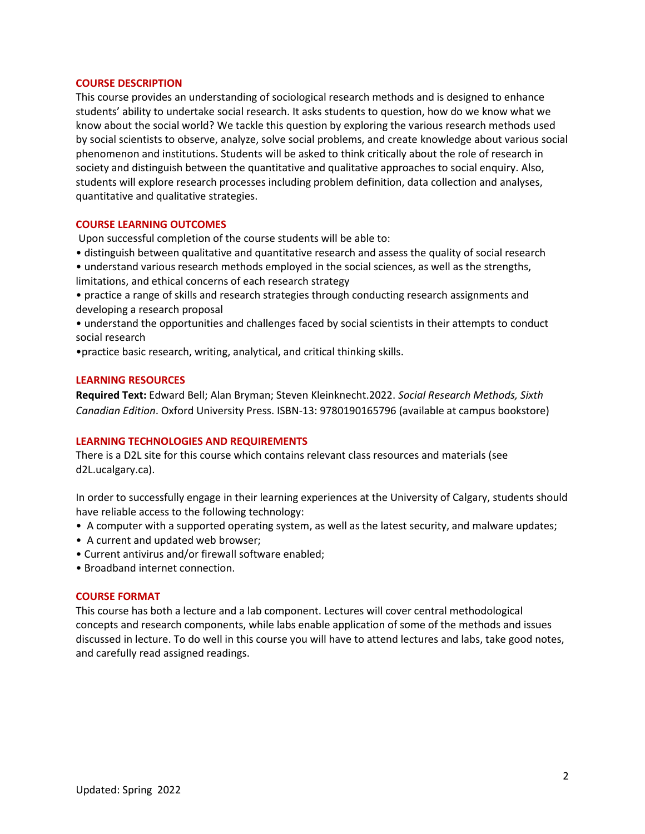#### **COURSE DESCRIPTION**

This course provides an understanding of sociological research methods and is designed to enhance students' ability to undertake social research. It asks students to question, how do we know what we know about the social world? We tackle this question by exploring the various research methods used by social scientists to observe, analyze, solve social problems, and create knowledge about various social phenomenon and institutions. Students will be asked to think critically about the role of research in society and distinguish between the quantitative and qualitative approaches to social enquiry. Also, students will explore research processes including problem definition, data collection and analyses, quantitative and qualitative strategies.

#### **COURSE LEARNING OUTCOMES**

Upon successful completion of the course students will be able to:

- distinguish between qualitative and quantitative research and assess the quality of social research
- understand various research methods employed in the social sciences, as well as the strengths, limitations, and ethical concerns of each research strategy

• practice a range of skills and research strategies through conducting research assignments and developing a research proposal

• understand the opportunities and challenges faced by social scientists in their attempts to conduct social research

•practice basic research, writing, analytical, and critical thinking skills.

#### **LEARNING RESOURCES**

**Required Text:** Edward Bell; Alan Bryman; Steven Kleinknecht.2022. *Social Research Methods, Sixth Canadian Edition*. Oxford University Press. ISBN-13: 9780190165796 (available at campus bookstore)

## **LEARNING TECHNOLOGIES AND REQUIREMENTS**

There is a D2L site for this course which contains relevant class resources and materials (see d2L.ucalgary.ca).

In order to successfully engage in their learning experiences at the University of Calgary, students should have reliable access to the following technology:

- A computer with a supported operating system, as well as the latest security, and malware updates;
- A current and updated web browser;
- Current antivirus and/or firewall software enabled;
- Broadband internet connection.

# **COURSE FORMAT**

This course has both a lecture and a lab component. Lectures will cover central methodological concepts and research components, while labs enable application of some of the methods and issues discussed in lecture. To do well in this course you will have to attend lectures and labs, take good notes, and carefully read assigned readings.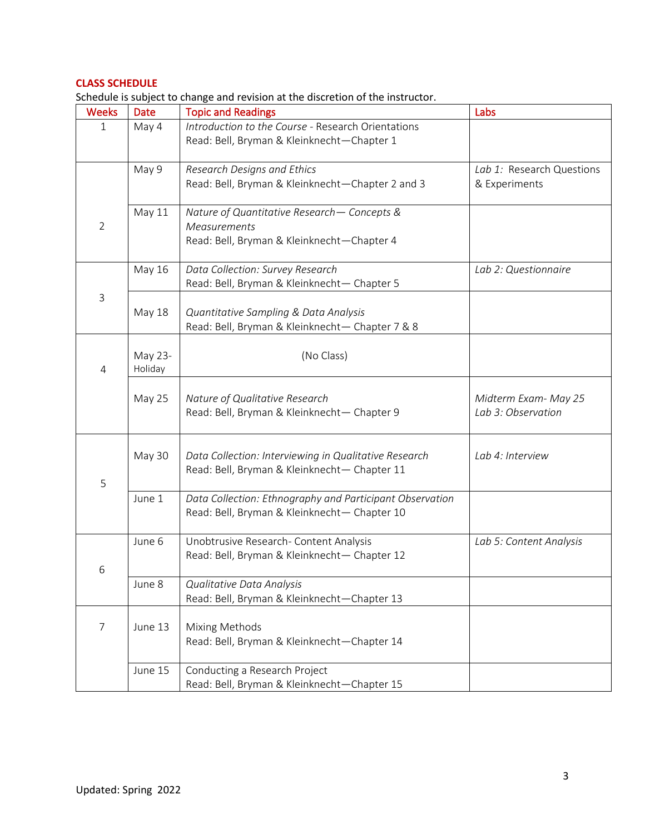# **CLASS SCHEDULE**

|                |               | arcusic is subject to change and revision at the discretion or the mstructo  |                           |
|----------------|---------------|------------------------------------------------------------------------------|---------------------------|
| <b>Weeks</b>   | Date          | <b>Topic and Readings</b>                                                    | Labs                      |
| 1              | May 4         | Introduction to the Course - Research Orientations                           |                           |
|                |               | Read: Bell, Bryman & Kleinknecht-Chapter 1                                   |                           |
|                |               |                                                                              |                           |
|                | May 9         | Research Designs and Ethics                                                  | Lab 1: Research Questions |
|                |               | Read: Bell, Bryman & Kleinknecht-Chapter 2 and 3                             | & Experiments             |
|                |               |                                                                              |                           |
|                | May 11        | Nature of Quantitative Research - Concepts &                                 |                           |
| $\overline{2}$ |               | <b>Measurements</b>                                                          |                           |
|                |               | Read: Bell, Bryman & Kleinknecht-Chapter 4                                   |                           |
|                | May 16        | Data Collection: Survey Research                                             | Lab 2: Questionnaire      |
|                |               | Read: Bell, Bryman & Kleinknecht- Chapter 5                                  |                           |
| $\mathsf{3}$   |               |                                                                              |                           |
|                | <b>May 18</b> | Quantitative Sampling & Data Analysis                                        |                           |
|                |               | Read: Bell, Bryman & Kleinknecht- Chapter 7 & 8                              |                           |
|                |               |                                                                              |                           |
|                | May 23-       | (No Class)                                                                   |                           |
| 4              | Holiday       |                                                                              |                           |
|                |               |                                                                              |                           |
|                | May 25        | Nature of Qualitative Research                                               | Midterm Exam- May 25      |
|                |               | Read: Bell, Bryman & Kleinknecht- Chapter 9                                  | Lab 3: Observation        |
|                |               |                                                                              |                           |
|                |               |                                                                              |                           |
|                | May 30        | Data Collection: Interviewing in Qualitative Research                        | Lab 4: Interview          |
| 5              |               | Read: Bell, Bryman & Kleinknecht- Chapter 11                                 |                           |
|                | June 1        | Data Collection: Ethnography and Participant Observation                     |                           |
|                |               | Read: Bell, Bryman & Kleinknecht- Chapter 10                                 |                           |
|                |               |                                                                              |                           |
|                | June 6        | Unobtrusive Research- Content Analysis                                       | Lab 5: Content Analysis   |
|                |               | Read: Bell, Bryman & Kleinknecht- Chapter 12                                 |                           |
| 6              |               |                                                                              |                           |
|                | June 8        | Qualitative Data Analysis                                                    |                           |
|                |               | Read: Bell, Bryman & Kleinknecht-Chapter 13                                  |                           |
|                |               |                                                                              |                           |
| 7              | June 13       | Mixing Methods                                                               |                           |
|                |               | Read: Bell, Bryman & Kleinknecht-Chapter 14                                  |                           |
|                |               |                                                                              |                           |
|                | June 15       | Conducting a Research Project<br>Read: Bell, Bryman & Kleinknecht-Chapter 15 |                           |
|                |               |                                                                              |                           |

Schedule is subject to change and revision at the discretion of the instructor.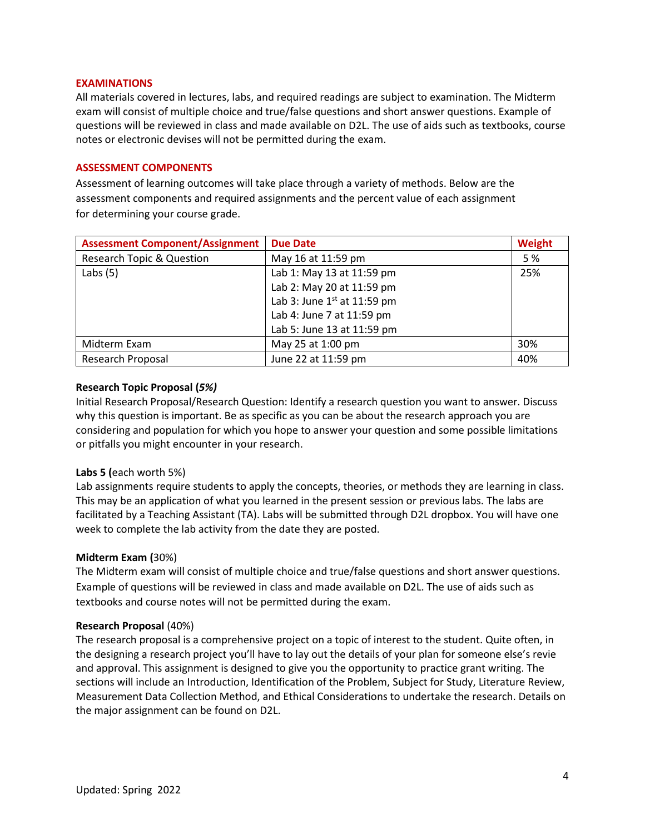# **EXAMINATIONS**

All materials covered in lectures, labs, and required readings are subject to examination. The Midterm exam will consist of multiple choice and true/false questions and short answer questions. Example of questions will be reviewed in class and made available on D2L. The use of aids such as textbooks, course notes or electronic devises will not be permitted during the exam.

# **ASSESSMENT COMPONENTS**

Assessment of learning outcomes will take place through a variety of methods. Below are the assessment components and required assignments and the percent value of each assignment for determining your course grade.

| <b>Assessment Component/Assignment</b> | <b>Due Date</b>               | Weight |
|----------------------------------------|-------------------------------|--------|
| <b>Research Topic &amp; Question</b>   | May 16 at 11:59 pm            | 5 %    |
| Labs $(5)$                             | Lab 1: May 13 at 11:59 pm     | 25%    |
|                                        | Lab 2: May 20 at 11:59 pm     |        |
|                                        | Lab 3: June $1st$ at 11:59 pm |        |
|                                        | Lab 4: June 7 at 11:59 pm     |        |
|                                        | Lab 5: June 13 at 11:59 pm    |        |
| Midterm Exam                           | May 25 at 1:00 pm             | 30%    |
| Research Proposal                      | June 22 at 11:59 pm           | 40%    |

# **Research Topic Proposal (***5%)*

Initial Research Proposal/Research Question: Identify a research question you want to answer. Discuss why this question is important. Be as specific as you can be about the research approach you are considering and population for which you hope to answer your question and some possible limitations or pitfalls you might encounter in your research.

# **Labs 5 (**each worth 5%)

Lab assignments require students to apply the concepts, theories, or methods they are learning in class. This may be an application of what you learned in the present session or previous labs. The labs are facilitated by a Teaching Assistant (TA). Labs will be submitted through D2L dropbox. You will have one week to complete the lab activity from the date they are posted.

# **Midterm Exam (**30%)

The Midterm exam will consist of multiple choice and true/false questions and short answer questions. Example of questions will be reviewed in class and made available on D2L. The use of aids such as textbooks and course notes will not be permitted during the exam.

## **Research Proposal** (40%)

The research proposal is a comprehensive project on a topic of interest to the student. Quite often, in the designing a research project you'll have to lay out the details of your plan for someone else's revie and approval. This assignment is designed to give you the opportunity to practice grant writing. The sections will include an Introduction, Identification of the Problem, Subject for Study, Literature Review, Measurement Data Collection Method, and Ethical Considerations to undertake the research. Details on the major assignment can be found on D2L.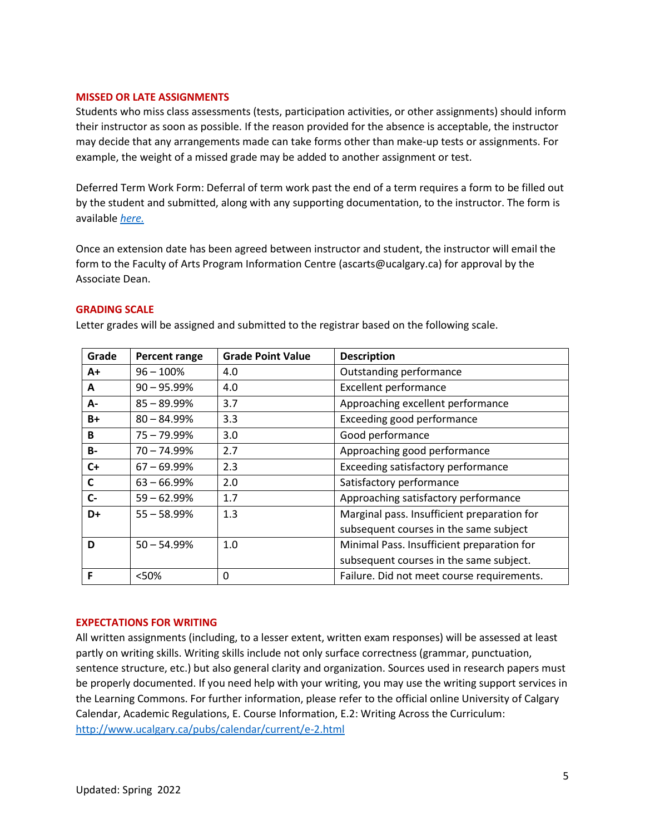## **MISSED OR LATE ASSIGNMENTS**

Students who miss class assessments (tests, participation activities, or other assignments) should inform their instructor as soon as possible. If the reason provided for the absence is acceptable, the instructor may decide that any arrangements made can take forms other than make-up tests or assignments. For example, the weight of a missed grade may be added to another assignment or test.

Deferred Term Work Form: Deferral of term work past the end of a term requires a form to be filled out by the student and submitted, along with any supporting documentation, to the instructor. The form is available *[here.](https://www.ucalgary.ca/registrar/student-centre/student-forms)*

Once an extension date has been agreed between instructor and student, the instructor will email the form to the Faculty of Arts Program Information Centre (ascarts@ucalgary.ca) for approval by the Associate Dean.

## **GRADING SCALE**

Letter grades will be assigned and submitted to the registrar based on the following scale.

| Grade     | Percent range  | <b>Grade Point Value</b> | <b>Description</b>                          |
|-----------|----------------|--------------------------|---------------------------------------------|
| $A+$      | $96 - 100\%$   | 4.0                      | Outstanding performance                     |
| A         | $90 - 95.99%$  | 4.0                      | <b>Excellent performance</b>                |
| А-        | $85 - 89.99%$  | 3.7                      | Approaching excellent performance           |
| $B+$      | $80 - 84.99%$  | 3.3                      | Exceeding good performance                  |
| B         | $75 - 79.99\%$ | 3.0                      | Good performance                            |
| <b>B-</b> | $70 - 74.99%$  | 2.7                      | Approaching good performance                |
| $C+$      | $67 - 69.99%$  | 2.3                      | Exceeding satisfactory performance          |
| C         | $63 - 66.99%$  | 2.0                      | Satisfactory performance                    |
| $C-$      | $59 - 62.99%$  | 1.7                      | Approaching satisfactory performance        |
| D+        | $55 - 58.99%$  | 1.3                      | Marginal pass. Insufficient preparation for |
|           |                |                          | subsequent courses in the same subject      |
| D         | $50 - 54.99%$  | 1.0                      | Minimal Pass. Insufficient preparation for  |
|           |                |                          | subsequent courses in the same subject.     |
| F         | < 50%          | 0                        | Failure. Did not meet course requirements.  |

## **EXPECTATIONS FOR WRITING**

All written assignments (including, to a lesser extent, written exam responses) will be assessed at least partly on writing skills. Writing skills include not only surface correctness (grammar, punctuation, sentence structure, etc.) but also general clarity and organization. Sources used in research papers must be properly documented. If you need help with your writing, you may use the writing support services in the Learning Commons. For further information, please refer to the official online University of Calgary Calendar, Academic Regulations, E. Course Information, E.2: Writing Across the Curriculum: <http://www.ucalgary.ca/pubs/calendar/current/e-2.html>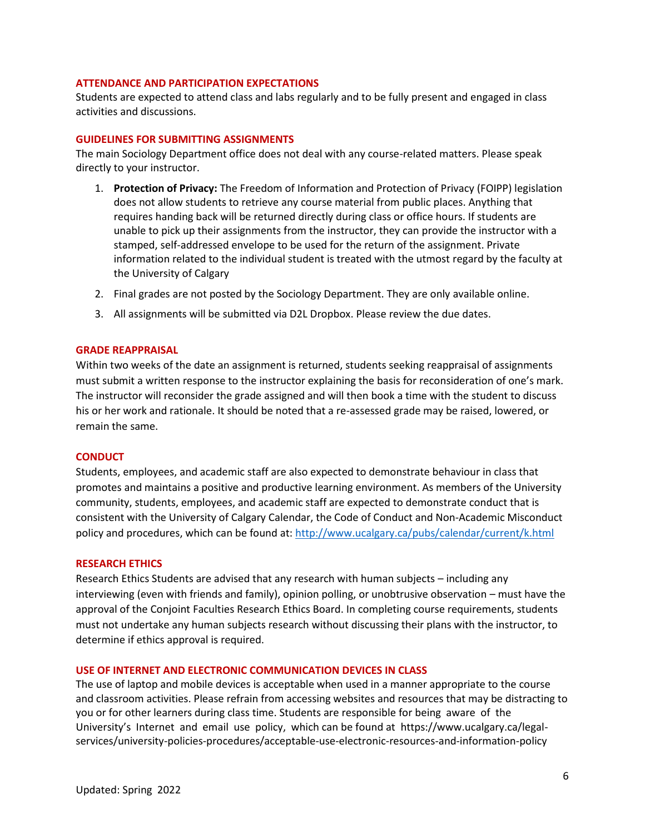# **ATTENDANCE AND PARTICIPATION EXPECTATIONS**

Students are expected to attend class and labs regularly and to be fully present and engaged in class activities and discussions.

# **GUIDELINES FOR SUBMITTING ASSIGNMENTS**

The main Sociology Department office does not deal with any course-related matters. Please speak directly to your instructor.

- 1. **Protection of Privacy:** The Freedom of Information and Protection of Privacy (FOIPP) legislation does not allow students to retrieve any course material from public places. Anything that requires handing back will be returned directly during class or office hours. If students are unable to pick up their assignments from the instructor, they can provide the instructor with a stamped, self-addressed envelope to be used for the return of the assignment. Private information related to the individual student is treated with the utmost regard by the faculty at the University of Calgary
- 2. Final grades are not posted by the Sociology Department. They are only available online.
- 3. All assignments will be submitted via D2L Dropbox. Please review the due dates.

#### **GRADE REAPPRAISAL**

Within two weeks of the date an assignment is returned, students seeking reappraisal of assignments must submit a written response to the instructor explaining the basis for reconsideration of one's mark. The instructor will reconsider the grade assigned and will then book a time with the student to discuss his or her work and rationale. It should be noted that a re-assessed grade may be raised, lowered, or remain the same.

#### **CONDUCT**

Students, employees, and academic staff are also expected to demonstrate behaviour in class that promotes and maintains a positive and productive learning environment. As members of the University community, students, employees, and academic staff are expected to demonstrate conduct that is consistent with the University of Calgary Calendar, the Code of Conduct and Non-Academic Misconduct policy and procedures, which can be found at:<http://www.ucalgary.ca/pubs/calendar/current/k.html>

#### **RESEARCH ETHICS**

Research Ethics Students are advised that any research with human subjects – including any interviewing (even with friends and family), opinion polling, or unobtrusive observation – must have the approval of the Conjoint Faculties Research Ethics Board. In completing course requirements, students must not undertake any human subjects research without discussing their plans with the instructor, to determine if ethics approval is required.

#### **USE OF INTERNET AND ELECTRONIC COMMUNICATION DEVICES IN CLASS**

The use of laptop and mobile devices is acceptable when used in a manner appropriate to the course and classroom activities. Please refrain from accessing websites and resources that may be distracting to you or for other learners during class time. Students are responsible for being aware of the University's Internet and email use policy, which can be found at https://www.ucalgary.ca/legalservices/university-policies-procedures/acceptable-use-electronic-resources-and-information-policy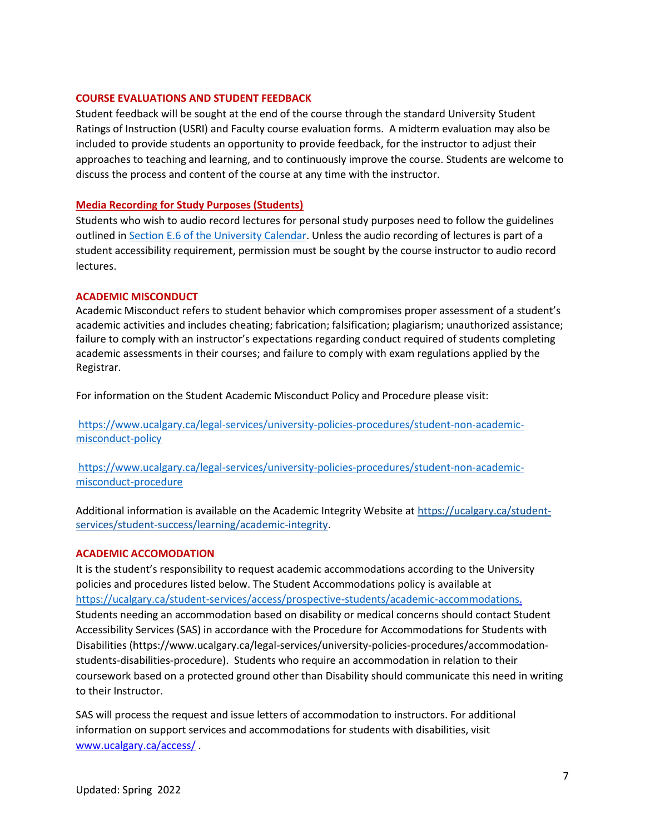# **COURSE EVALUATIONS AND STUDENT FEEDBACK**

Student feedback will be sought at the end of the course through the standard University Student Ratings of Instruction (USRI) and Faculty course evaluation forms. A midterm evaluation may also be included to provide students an opportunity to provide feedback, for the instructor to adjust their approaches to teaching and learning, and to continuously improve the course. Students are welcome to discuss the process and content of the course at any time with the instructor.

# **Media Recording for Study Purposes (Students)**

Students who wish to audio record lectures for personal study purposes need to follow the guidelines outlined i[n Section E.6 of the University Calendar.](https://www.ucalgary.ca/pubs/calendar/current/e-6.html) Unless the audio recording of lectures is part of a student accessibility requirement, permission must be sought by the course instructor to audio record lectures.

# **ACADEMIC MISCONDUCT**

Academic Misconduct refers to student behavior which compromises proper assessment of a student's academic activities and includes cheating; fabrication; falsification; plagiarism; unauthorized assistance; failure to comply with an instructor's expectations regarding conduct required of students completing academic assessments in their courses; and failure to comply with exam regulations applied by the Registrar.

For information on the Student Academic Misconduct Policy and Procedure please visit:

[https://www.ucalgary.ca/legal-services/university-policies-procedures/student-non-academic](https://www.ucalgary.ca/legal-services/university-policies-procedures/student-non-academic-misconduct-policy)[misconduct-policy](https://www.ucalgary.ca/legal-services/university-policies-procedures/student-non-academic-misconduct-policy)

[https://www.ucalgary.ca/legal-services/university-policies-procedures/student-non-academic](https://www.ucalgary.ca/legal-services/university-policies-procedures/student-non-academic-misconduct-procedure)[misconduct-procedure](https://www.ucalgary.ca/legal-services/university-policies-procedures/student-non-academic-misconduct-procedure)

Additional information is available on the Academic Integrity Website at [https://ucalgary.ca/student](https://ucalgary.ca/student-services/student-success/learning/academic-integrity)[services/student-success/learning/academic-integrity.](https://ucalgary.ca/student-services/student-success/learning/academic-integrity)

# **ACADEMIC ACCOMODATION**

It is the student's responsibility to request academic accommodations according to the University policies and procedures listed below. The Student Accommodations policy is available at [https://ucalgary.ca/student-services/access/prospective-students/academic-accommodations.](https://ucalgary.ca/student-services/access/prospective-students/academic-accommodations) Students needing an accommodation based on disability or medical concerns should contact Student Accessibility Services (SAS) in accordance with the Procedure for Accommodations for Students with Disabilities (https://www.ucalgary.ca/legal-services/university-policies-procedures/accommodationstudents-disabilities-procedure). Students who require an accommodation in relation to their coursework based on a protected ground other than Disability should communicate this need in writing to their Instructor.

SAS will process the request and issue letters of accommodation to instructors. For additional information on support services and accommodations for students with disabilities, visit [www.ucalgary.ca/access/](http://www.ucalgary.ca/access/) .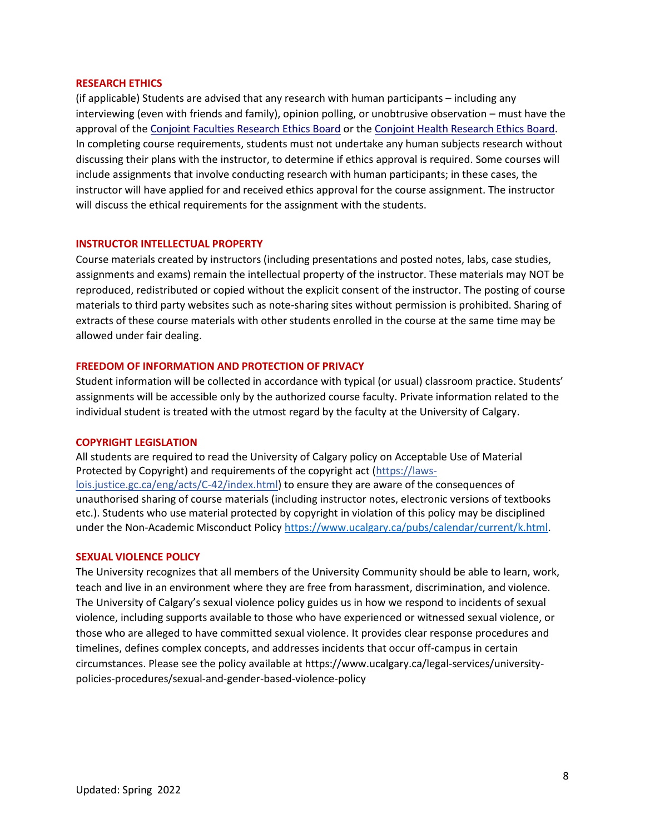#### **RESEARCH ETHICS**

(if applicable) Students are advised that any research with human participants – including any interviewing (even with friends and family), opinion polling, or unobtrusive observation – must have the approval of the [Conjoint Faculties Research Ethics Board](https://research.ucalgary.ca/conduct-research/ethics-compliance/human-research-ethics/conjoint-faculties-research-ethics-board) or the [Conjoint Health Research Ethics Board.](https://research.ucalgary.ca/conduct-research/ethics-compliance/human-research-ethics/conjoint-health-research-ethics-board) In completing course requirements, students must not undertake any human subjects research without discussing their plans with the instructor, to determine if ethics approval is required. Some courses will include assignments that involve conducting research with human participants; in these cases, the instructor will have applied for and received ethics approval for the course assignment. The instructor will discuss the ethical requirements for the assignment with the students.

## **INSTRUCTOR INTELLECTUAL PROPERTY**

Course materials created by instructors (including presentations and posted notes, labs, case studies, assignments and exams) remain the intellectual property of the instructor. These materials may NOT be reproduced, redistributed or copied without the explicit consent of the instructor. The posting of course materials to third party websites such as note-sharing sites without permission is prohibited. Sharing of extracts of these course materials with other students enrolled in the course at the same time may be allowed under fair dealing.

# **FREEDOM OF INFORMATION AND PROTECTION OF PRIVACY**

Student information will be collected in accordance with typical (or usual) classroom practice. Students' assignments will be accessible only by the authorized course faculty. Private information related to the individual student is treated with the utmost regard by the faculty at the University of Calgary.

#### **COPYRIGHT LEGISLATION**

All students are required to read the University of Calgary policy on Acceptable Use of Material Protected by Copyright) and requirements of the copyright act (https://lawslois.justice.gc.ca/eng/acts/C-42/index.html) to ensure they are aware of the consequences of unauthorised sharing of course materials (including instructor notes, electronic versions of textbooks etc.). Students who use material protected by copyright in violation of this policy may be disciplined under the Non-Academic Misconduct Policy [https://www.ucalgary.ca/pubs/calendar/current/k.html.](https://www.ucalgary.ca/pubs/calendar/current/k.html)

#### **SEXUAL VIOLENCE POLICY**

The University recognizes that all members of the University Community should be able to learn, work, teach and live in an environment where they are free from harassment, discrimination, and violence. The University of Calgary's sexual violence policy guides us in how we respond to incidents of sexual violence, including supports available to those who have experienced or witnessed sexual violence, or those who are alleged to have committed sexual violence. It provides clear response procedures and timelines, defines complex concepts, and addresses incidents that occur off-campus in certain circumstances. Please see the policy available at https://www.ucalgary.ca/legal-services/universitypolicies-procedures/sexual-and-gender-based-violence-policy